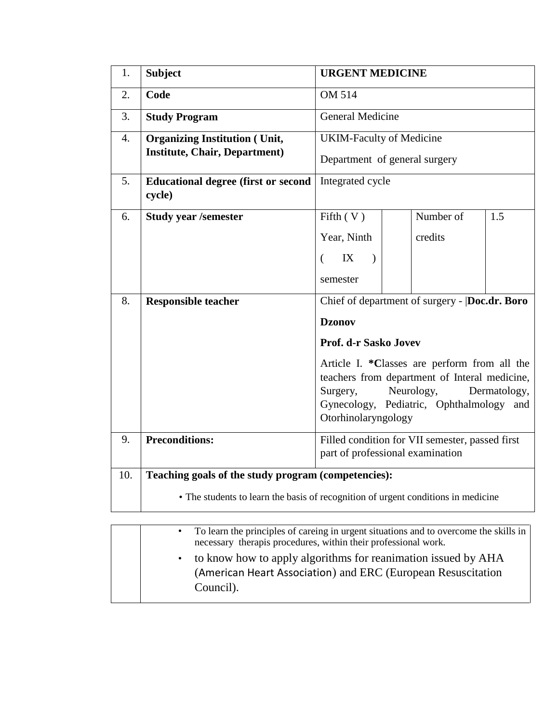| 1.  | <b>Subject</b>                                                                    | <b>URGENT MEDICINE</b>                                                                  |           |     |  |  |  |
|-----|-----------------------------------------------------------------------------------|-----------------------------------------------------------------------------------------|-----------|-----|--|--|--|
| 2.  | Code                                                                              | <b>OM 514</b>                                                                           |           |     |  |  |  |
| 3.  | <b>Study Program</b>                                                              | <b>General Medicine</b>                                                                 |           |     |  |  |  |
| 4.  | <b>Organizing Institution (Unit,</b><br><b>Institute, Chair, Department)</b>      | <b>UKIM-Faculty of Medicine</b>                                                         |           |     |  |  |  |
|     |                                                                                   | Department of general surgery                                                           |           |     |  |  |  |
| 5.  | <b>Educational degree (first or second)</b><br>cycle)                             | Integrated cycle                                                                        |           |     |  |  |  |
| 6.  | <b>Study year /semester</b>                                                       | Fifth $(V)$                                                                             | Number of | 1.5 |  |  |  |
|     |                                                                                   | Year, Ninth                                                                             | credits   |     |  |  |  |
|     |                                                                                   | IX<br>$\left($<br>$\lambda$                                                             |           |     |  |  |  |
|     |                                                                                   | semester                                                                                |           |     |  |  |  |
| 8.  | <b>Responsible teacher</b>                                                        | Chief of department of surgery -  Doc.dr. Boro                                          |           |     |  |  |  |
|     |                                                                                   | <b>Dzonov</b>                                                                           |           |     |  |  |  |
|     |                                                                                   | Prof. d-r Sasko Jovev                                                                   |           |     |  |  |  |
|     |                                                                                   | Article I. *Classes are perform from all the                                            |           |     |  |  |  |
|     |                                                                                   | teachers from department of Interal medicine,<br>Neurology,<br>Dermatology,<br>Surgery, |           |     |  |  |  |
|     |                                                                                   | Gynecology, Pediatric, Ophthalmology<br>and                                             |           |     |  |  |  |
|     |                                                                                   | Otorhinolaryngology                                                                     |           |     |  |  |  |
| 9.  | <b>Preconditions:</b>                                                             | Filled condition for VII semester, passed first<br>part of professional examination     |           |     |  |  |  |
| 10. | Teaching goals of the study program (competencies):                               |                                                                                         |           |     |  |  |  |
|     | • The students to learn the basis of recognition of urgent conditions in medicine |                                                                                         |           |     |  |  |  |

| $\bullet$ | To learn the principles of careing in urgent situations and to overcome the skills in<br>necessary therapis procedures, within their professional work. |
|-----------|---------------------------------------------------------------------------------------------------------------------------------------------------------|
| $\bullet$ | to know how to apply algorithms for reanimation issued by AHA<br>(American Heart Association) and ERC (European Resuscitation<br>Council).              |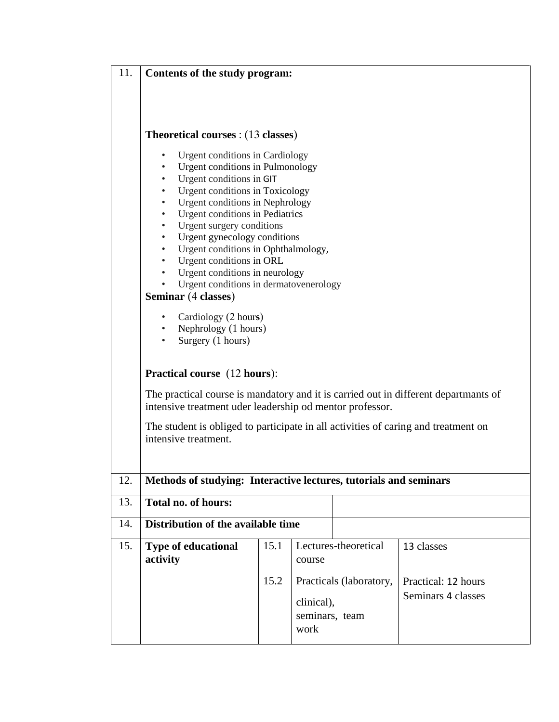| 11. | Contents of the study program:                                                                                                                                                                                                                                                                                                                                                                                                                                                                                                                                                |                                              |        |                         |                                           |  |  |  |  |  |  |
|-----|-------------------------------------------------------------------------------------------------------------------------------------------------------------------------------------------------------------------------------------------------------------------------------------------------------------------------------------------------------------------------------------------------------------------------------------------------------------------------------------------------------------------------------------------------------------------------------|----------------------------------------------|--------|-------------------------|-------------------------------------------|--|--|--|--|--|--|
|     | <b>Theoretical courses</b> : (13 classes)                                                                                                                                                                                                                                                                                                                                                                                                                                                                                                                                     |                                              |        |                         |                                           |  |  |  |  |  |  |
|     | Urgent conditions in Cardiology<br>$\bullet$<br>Urgent conditions in Pulmonology<br>$\bullet$<br>Urgent conditions in GIT<br>$\bullet$<br>Urgent conditions in Toxicology<br>$\bullet$<br>Urgent conditions in Nephrology<br>$\bullet$<br>Urgent conditions in Pediatrics<br>$\bullet$<br>Urgent surgery conditions<br>$\bullet$<br>Urgent gynecology conditions<br>$\bullet$<br>Urgent conditions in Ophthalmology,<br>$\bullet$<br>Urgent conditions in ORL<br>$\bullet$<br>Urgent conditions in neurology<br>Urgent conditions in dermatovenerology<br>Seminar (4 classes) |                                              |        |                         |                                           |  |  |  |  |  |  |
|     | Cardiology (2 hours)<br>• Nephrology (1 hours)<br>Surgery (1 hours)                                                                                                                                                                                                                                                                                                                                                                                                                                                                                                           |                                              |        |                         |                                           |  |  |  |  |  |  |
|     | <b>Practical course</b> (12 hours):<br>The practical course is mandatory and it is carried out in different departmants of<br>intensive treatment uder leadership od mentor professor.                                                                                                                                                                                                                                                                                                                                                                                        |                                              |        |                         |                                           |  |  |  |  |  |  |
|     | The student is obliged to participate in all activities of caring and treatment on<br>intensive treatment.                                                                                                                                                                                                                                                                                                                                                                                                                                                                    |                                              |        |                         |                                           |  |  |  |  |  |  |
| 12. | Methods of studying: Interactive lectures, tutorials and seminars                                                                                                                                                                                                                                                                                                                                                                                                                                                                                                             |                                              |        |                         |                                           |  |  |  |  |  |  |
| 13. | <b>Total no. of hours:</b>                                                                                                                                                                                                                                                                                                                                                                                                                                                                                                                                                    |                                              |        |                         |                                           |  |  |  |  |  |  |
| 14. | Distribution of the available time                                                                                                                                                                                                                                                                                                                                                                                                                                                                                                                                            |                                              |        |                         |                                           |  |  |  |  |  |  |
| 15. | <b>Type of educational</b><br>activity                                                                                                                                                                                                                                                                                                                                                                                                                                                                                                                                        | 15.1                                         | course | Lectures-theoretical    | 13 classes                                |  |  |  |  |  |  |
|     |                                                                                                                                                                                                                                                                                                                                                                                                                                                                                                                                                                               | 15.2<br>clinical),<br>seminars, team<br>work |        | Practicals (laboratory, | Practical: 12 hours<br>Seminars 4 classes |  |  |  |  |  |  |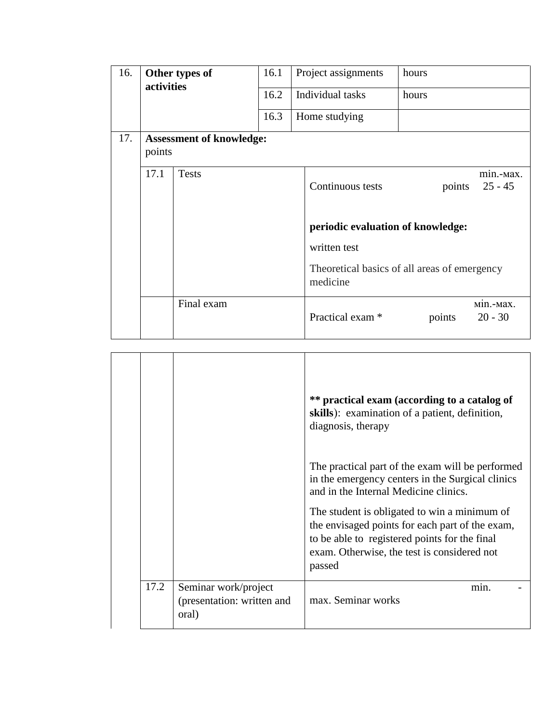| 16.<br>activities |                                           | Other types of | 16.1             |               | Project assignments                                      | hours |        |                        |
|-------------------|-------------------------------------------|----------------|------------------|---------------|----------------------------------------------------------|-------|--------|------------------------|
|                   |                                           | 16.2           | Individual tasks |               | hours                                                    |       |        |                        |
|                   |                                           |                | 16.3             | Home studying |                                                          |       |        |                        |
| 17.               | <b>Assessment of knowledge:</b><br>points |                |                  |               |                                                          |       |        |                        |
|                   | 17.1                                      | <b>Tests</b>   |                  |               | Continuous tests                                         |       | points | min.-Max.<br>$25 - 45$ |
|                   |                                           |                |                  |               | periodic evaluation of knowledge:                        |       |        |                        |
|                   |                                           |                |                  |               | written test                                             |       |        |                        |
|                   |                                           |                |                  |               | Theoretical basics of all areas of emergency<br>medicine |       |        |                        |
|                   |                                           | Final exam     |                  |               | Practical exam <sup>*</sup>                              |       | points | міп.-мах.<br>$20 - 30$ |

|      |                                                             | ** practical exam (according to a catalog of<br>skills): examination of a patient, definition,<br>diagnosis, therapy                                                                                      |
|------|-------------------------------------------------------------|-----------------------------------------------------------------------------------------------------------------------------------------------------------------------------------------------------------|
|      |                                                             | The practical part of the exam will be performed<br>in the emergency centers in the Surgical clinics<br>and in the Internal Medicine clinics.                                                             |
|      |                                                             | The student is obligated to win a minimum of<br>the envisaged points for each part of the exam,<br>to be able to registered points for the final<br>exam. Otherwise, the test is considered not<br>passed |
| 17.2 | Seminar work/project<br>(presentation: written and<br>oral) | min.<br>max. Seminar works                                                                                                                                                                                |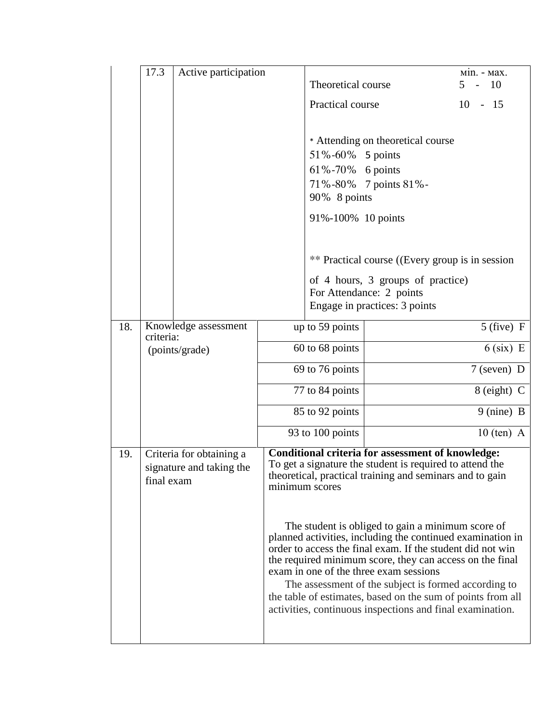|     | 17.3       | Active participation     |                                                                                                    | Theoretical course |                                                                                                                      | Min. - Max.<br><b>10</b><br>$5 -$                           |  |  |
|-----|------------|--------------------------|----------------------------------------------------------------------------------------------------|--------------------|----------------------------------------------------------------------------------------------------------------------|-------------------------------------------------------------|--|--|
|     |            |                          |                                                                                                    | Practical course   |                                                                                                                      | $10 - 15$                                                   |  |  |
|     |            |                          |                                                                                                    |                    |                                                                                                                      |                                                             |  |  |
|     |            |                          |                                                                                                    |                    | * Attending on theoretical course                                                                                    |                                                             |  |  |
|     |            |                          |                                                                                                    | 51%-60% 5 points   |                                                                                                                      |                                                             |  |  |
|     |            |                          |                                                                                                    | 61%-70% 6 points   |                                                                                                                      |                                                             |  |  |
|     |            |                          |                                                                                                    |                    | 71%-80% 7 points 81%-                                                                                                |                                                             |  |  |
|     |            |                          |                                                                                                    | 90% 8 points       |                                                                                                                      |                                                             |  |  |
|     |            |                          |                                                                                                    | 91%-100% 10 points |                                                                                                                      |                                                             |  |  |
|     |            |                          |                                                                                                    |                    |                                                                                                                      |                                                             |  |  |
|     |            |                          |                                                                                                    |                    | ** Practical course ((Every group is in session)                                                                     |                                                             |  |  |
|     |            |                          |                                                                                                    |                    | of 4 hours, 3 groups of practice)                                                                                    |                                                             |  |  |
|     |            |                          |                                                                                                    |                    | For Attendance: 2 points<br>Engage in practices: 3 points                                                            |                                                             |  |  |
|     |            |                          |                                                                                                    |                    |                                                                                                                      |                                                             |  |  |
| 18. | criteria:  | Knowledge assessment     | up to 59 points                                                                                    |                    |                                                                                                                      | $5$ (five) F                                                |  |  |
|     |            | (points/grade)           |                                                                                                    | 60 to 68 points    |                                                                                                                      | $6$ (six) E                                                 |  |  |
|     |            |                          |                                                                                                    | 69 to 76 points    |                                                                                                                      | $7$ (seven) D                                               |  |  |
|     |            |                          |                                                                                                    | 77 to 84 points    |                                                                                                                      | 8 (eight) C                                                 |  |  |
|     |            |                          |                                                                                                    | 85 to 92 points    |                                                                                                                      | 9 (nine) B                                                  |  |  |
|     |            |                          |                                                                                                    | 93 to 100 points   |                                                                                                                      | $10$ (ten) A                                                |  |  |
| 19. |            | Criteria for obtaining a |                                                                                                    |                    | <b>Conditional criteria for assessment of knowledge:</b>                                                             |                                                             |  |  |
|     |            | signature and taking the |                                                                                                    |                    | To get a signature the student is required to attend the<br>theoretical, practical training and seminars and to gain |                                                             |  |  |
|     | final exam |                          |                                                                                                    | minimum scores     |                                                                                                                      |                                                             |  |  |
|     |            |                          |                                                                                                    |                    |                                                                                                                      |                                                             |  |  |
|     |            |                          |                                                                                                    |                    | The student is obliged to gain a minimum score of                                                                    |                                                             |  |  |
|     |            |                          |                                                                                                    |                    |                                                                                                                      | planned activities, including the continued examination in  |  |  |
|     |            |                          |                                                                                                    |                    | order to access the final exam. If the student did not win                                                           |                                                             |  |  |
|     |            |                          | the required minimum score, they can access on the final<br>exam in one of the three exam sessions |                    |                                                                                                                      |                                                             |  |  |
|     |            |                          |                                                                                                    |                    | The assessment of the subject is formed according to                                                                 |                                                             |  |  |
|     |            |                          |                                                                                                    |                    | activities, continuous inspections and final examination.                                                            | the table of estimates, based on the sum of points from all |  |  |
|     |            |                          |                                                                                                    |                    |                                                                                                                      |                                                             |  |  |
|     |            |                          |                                                                                                    |                    |                                                                                                                      |                                                             |  |  |